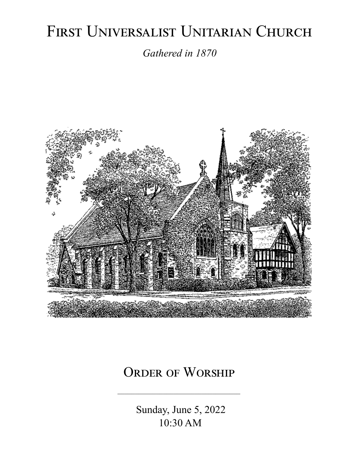# FIRST UNIVERSALIST UNITARIAN CHURCH

*Gathered in 1870*



## ORDER OF WORSHIP

 Sunday, June 5, 2022 10:30 AM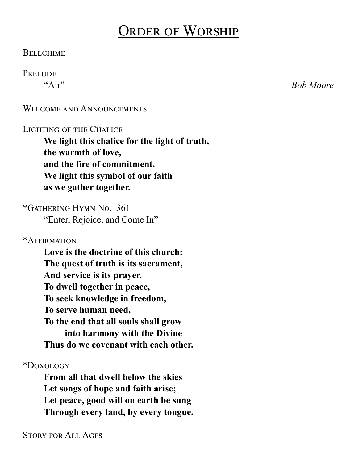## Order of Worship

#### **BELLCHIME**

#### **PRELUDE**

"Air" *Bob Moore*

#### WELCOME AND ANNOUNCEMENTS

#### Lighting of the Chalice

**We light this chalice for the light of truth, the warmth of love, and the fire of commitment. We light this symbol of our faith as we gather together.**

\*Gathering Hymn No. 361 "Enter, Rejoice, and Come In"

\*Affirmation

**Love is the doctrine of this church: The quest of truth is its sacrament, And service is its prayer. To dwell together in peace, To seek knowledge in freedom, To serve human need, To the end that all souls shall grow into harmony with the Divine— Thus do we covenant with each other.**

\*Doxology

**From all that dwell below the skies Let songs of hope and faith arise; Let peace, good will on earth be sung Through every land, by every tongue.**

Story for All Ages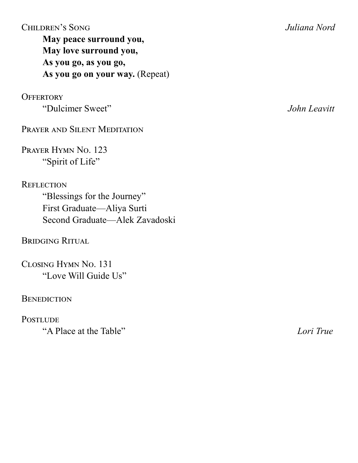### Children's Song *Juliana Nord*

**May peace surround you, May love surround you, As you go, as you go, As you go on your way.** (Repeat)

**OFFERTORY** 

"Dulcimer Sweet" *John Leavitt*

PRAYER AND SILENT MEDITATION

Prayer Hymn No. 123 "Spirit of Life"

**REFLECTION** "Blessings for the Journey" First Graduate—Aliya Surti Second Graduate—Alek Zavadoski

Bridging Ritual

Closing Hymn No. 131 "Love Will Guide Us"

**BENEDICTION** 

**POSTLUDE** "A Place at the Table" *Lori True*